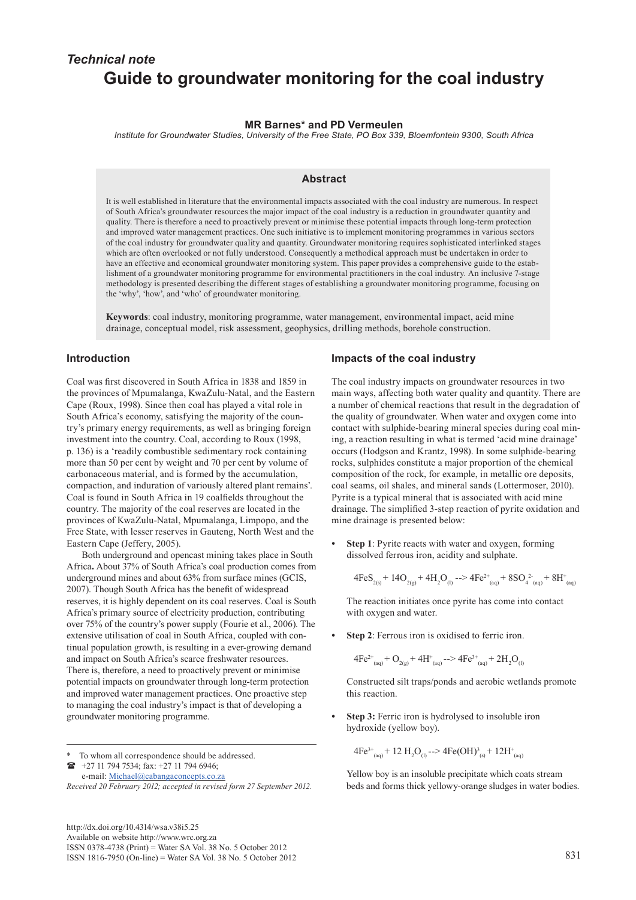# *Technical note* **Guide to groundwater monitoring for the coal industry**

## **MR Barnes\* and PD Vermeulen**

*Institute for Groundwater Studies, University of the Free State, PO Box 339, Bloemfontein 9300, South Africa*

# **Abstract**

It is well established in literature that the environmental impacts associated with the coal industry are numerous. In respect of South Africa's groundwater resources the major impact of the coal industry is a reduction in groundwater quantity and quality. There is therefore a need to proactively prevent or minimise these potential impacts through long-term protection and improved water management practices. One such initiative is to implement monitoring programmes in various sectors of the coal industry for groundwater quality and quantity. Groundwater monitoring requires sophisticated interlinked stages which are often overlooked or not fully understood. Consequently a methodical approach must be undertaken in order to have an effective and economical groundwater monitoring system. This paper provides a comprehensive guide to the establishment of a groundwater monitoring programme for environmental practitioners in the coal industry. An inclusive 7-stage methodology is presented describing the different stages of establishing a groundwater monitoring programme, focusing on the 'why', 'how', and 'who' of groundwater monitoring.

**Keywords**: coal industry, monitoring programme, water management, environmental impact, acid mine drainage, conceptual model, risk assessment, geophysics, drilling methods, borehole construction.

# **Introduction**

Coal was first discovered in South Africa in 1838 and 1859 in the provinces of Mpumalanga, KwaZulu-Natal, and the Eastern Cape (Roux, 1998). Since then coal has played a vital role in South Africa's economy, satisfying the majority of the country's primary energy requirements, as well as bringing foreign investment into the country. Coal, according to Roux (1998, p. 136) is a 'readily combustible sedimentary rock containing more than 50 per cent by weight and 70 per cent by volume of carbonaceous material, and is formed by the accumulation, compaction, and induration of variously altered plant remains'. Coal is found in South Africa in 19 coalfields throughout the country. The majority of the coal reserves are located in the provinces of KwaZulu-Natal, Mpumalanga, Limpopo, and the Free State, with lesser reserves in Gauteng, North West and the Eastern Cape (Jeffery, 2005).

Both underground and opencast mining takes place in South Africa**.** About 37% of South Africa's coal production comes from underground mines and about 63% from surface mines (GCIS, 2007). Though South Africa has the benefit of widespread reserves, it is highly dependent on its coal reserves. Coal is South Africa's primary source of electricity production, contributing over 75% of the country's power supply (Fourie et al., 2006). The extensive utilisation of coal in South Africa, coupled with continual population growth, is resulting in a ever-growing demand and impact on South Africa's scarce freshwater resources. There is, therefore, a need to proactively prevent or minimise potential impacts on groundwater through long-term protection and improved water management practices. One proactive step to managing the coal industry's impact is that of developing a groundwater monitoring programme.

To whom all correspondence should be addressed.  $\bullet$  +27 11 794 7534; fax: +27 11 794 6946; e-mail: [Michael@cabangaconcepts.co.za](mailto:Michael@cabangaconcepts.co.za) 

*Received 20 February 2012; accepted in revised form 27 September 2012.*

[http://dx.doi.org/10.4314/wsa.v38i5.](http://dx.doi.org/10.4314/wsa.v37i4.18)25 Available on website http://www.wrc.org.za ISSN 0378-4738 (Print) = Water SA Vol. 38 No. 5 October 2012 ISSN 1816-7950 (On-line) = Water SA Vol. 38 No. 5 October 2012 831

#### **Impacts of the coal industry**

The coal industry impacts on groundwater resources in two main ways, affecting both water quality and quantity. There are a number of chemical reactions that result in the degradation of the quality of groundwater. When water and oxygen come into contact with sulphide-bearing mineral species during coal mining, a reaction resulting in what is termed 'acid mine drainage' occurs (Hodgson and Krantz, 1998). In some sulphide-bearing rocks, sulphides constitute a major proportion of the chemical composition of the rock, for example, in metallic ore deposits, coal seams, oil shales, and mineral sands (Lottermoser, 2010). Pyrite is a typical mineral that is associated with acid mine drainage. The simplified 3-step reaction of pyrite oxidation and mine drainage is presented below:

**Step 1**: Pyrite reacts with water and oxygen, forming dissolved ferrous iron, acidity and sulphate.

$$
4FeS_{2(s)} + 14O_{2(g)} + 4H_2O_{(1)} \rightarrow 4Fe^{2+}{}_{(aq)} + 8SO_4^{2-}{}_{(aq)} + 8H^+{}_{(aq)}
$$

The reaction initiates once pyrite has come into contact with oxygen and water.

**Step 2**: Ferrous iron is oxidised to ferric iron.

 $4Fe^{2+}$ <sub>(aq)</sub> +  $O_{2(g)}$  +  $4H^+$ <sub>(aq)</sub> - ->  $4Fe^{3+}$ <sub>(aq)</sub> +  $2H_2O_{(1)}$ 

Constructed silt traps/ponds and aerobic wetlands promote this reaction.

**Step 3:** Ferric iron is hydrolysed to insoluble iron hydroxide (yellow boy).

 $4Fe^{3+}$ <sub>(aq)</sub> + 12 H<sub>2</sub>O<sub>(l)</sub> - ->  $4Fe(OH)^3$ <sub>(s)</sub> + 12H<sup>+</sup><sub>(aq)</sub>

Yellow boy is an insoluble precipitate which coats stream beds and forms thick yellowy-orange sludges in water bodies.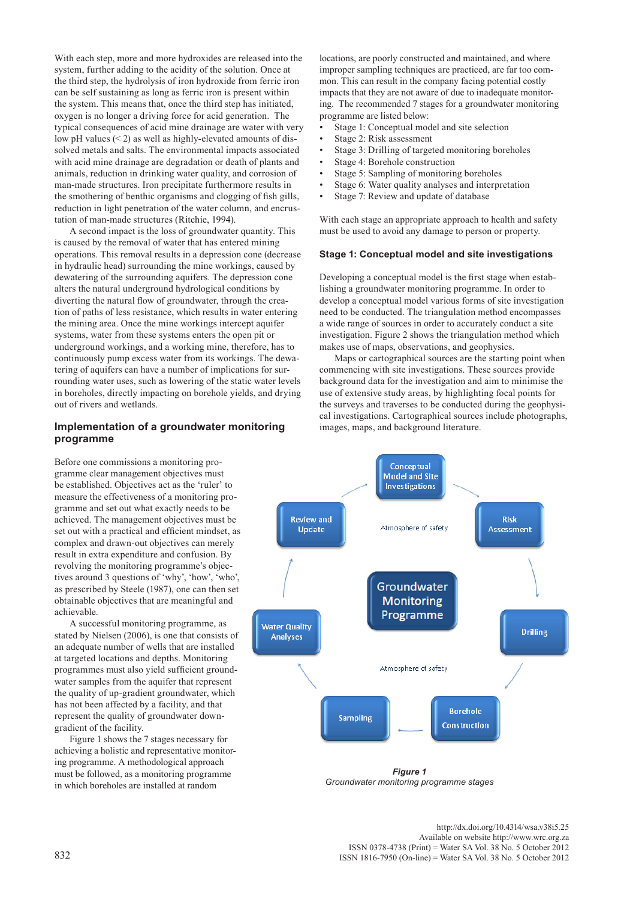With each step, more and more hydroxides are released into the system, further adding to the acidity of the solution. Once at the third step, the hydrolysis of iron hydroxide from ferric iron can be self sustaining as long as ferric iron is present within the system. This means that, once the third step has initiated, oxygen is no longer a driving force for acid generation. The typical consequences of acid mine drainage are water with very low pH values  $(< 2$ ) as well as highly-elevated amounts of dissolved metals and salts. The environmental impacts associated with acid mine drainage are degradation or death of plants and animals, reduction in drinking water quality, and corrosion of man-made structures. Iron precipitate furthermore results in the smothering of benthic organisms and clogging of fish gills, reduction in light penetration of the water column, and encrustation of man-made structures (Ritchie, 1994).

A second impact is the loss of groundwater quantity. This is caused by the removal of water that has entered mining operations. This removal results in a depression cone (decrease in hydraulic head) surrounding the mine workings, caused by dewatering of the surrounding aquifers. The depression cone alters the natural underground hydrological conditions by diverting the natural flow of groundwater, through the creation of paths of less resistance, which results in water entering the mining area. Once the mine workings intercept aquifer systems, water from these systems enters the open pit or underground workings, and a working mine, therefore, has to continuously pump excess water from its workings. The dewatering of aquifers can have a number of implications for surrounding water uses, such as lowering of the static water levels in boreholes, directly impacting on borehole yields, and drying out of rivers and wetlands.

## **Implementation of a groundwater monitoring programme**

Before one commissions a monitoring programme clear management objectives must be established. Objectives act as the 'ruler' to measure the effectiveness of a monitoring programme and set out what exactly needs to be achieved. The management objectives must be set out with a practical and efficient mindset, as complex and drawn-out objectives can merely result in extra expenditure and confusion. By revolving the monitoring programme's objectives around 3 questions of 'why', 'how', 'who', as prescribed by Steele (1987), one can then set obtainable objectives that are meaningful and achievable.

A successful monitoring programme, as stated by Nielsen (2006), is one that consists of an adequate number of wells that are installed at targeted locations and depths. Monitoring programmes must also yield sufficient groundwater samples from the aquifer that represent the quality of up-gradient groundwater, which has not been affected by a facility, and that represent the quality of groundwater downgradient of the facility.

Figure 1 shows the 7 stages necessary for achieving a holistic and representative monitoring programme. A methodological approach must be followed, as a monitoring programme in which boreholes are installed at random

locations, are poorly constructed and maintained, and where improper sampling techniques are practiced, are far too common. This can result in the company facing potential costly impacts that they are not aware of due to inadequate monitoring. The recommended 7 stages for a groundwater monitoring programme are listed below:

- Stage 1: Conceptual model and site selection
- Stage 2: Risk assessment
- Stage 3: Drilling of targeted monitoring boreholes
- Stage 4: Borehole construction
- Stage 5: Sampling of monitoring boreholes
- Stage 6: Water quality analyses and interpretation
- Stage 7: Review and update of database

With each stage an appropriate approach to health and safety must be used to avoid any damage to person or property.

#### **Stage 1: Conceptual model and site investigations**

Developing a conceptual model is the first stage when establishing a groundwater monitoring programme. In order to develop a conceptual model various forms of site investigation need to be conducted. The triangulation method encompasses a wide range of sources in order to accurately conduct a site investigation. Figure 2 shows the triangulation method which makes use of maps, observations, and geophysics.

Maps or cartographical sources are the starting point when commencing with site investigations. These sources provide background data for the investigation and aim to minimise the use of extensive study areas, by highlighting focal points for the surveys and traverses to be conducted during the geophysical investigations. Cartographical sources include photographs, images, maps, and background literature.



*Figure 1 Groundwater monitoring programme stages*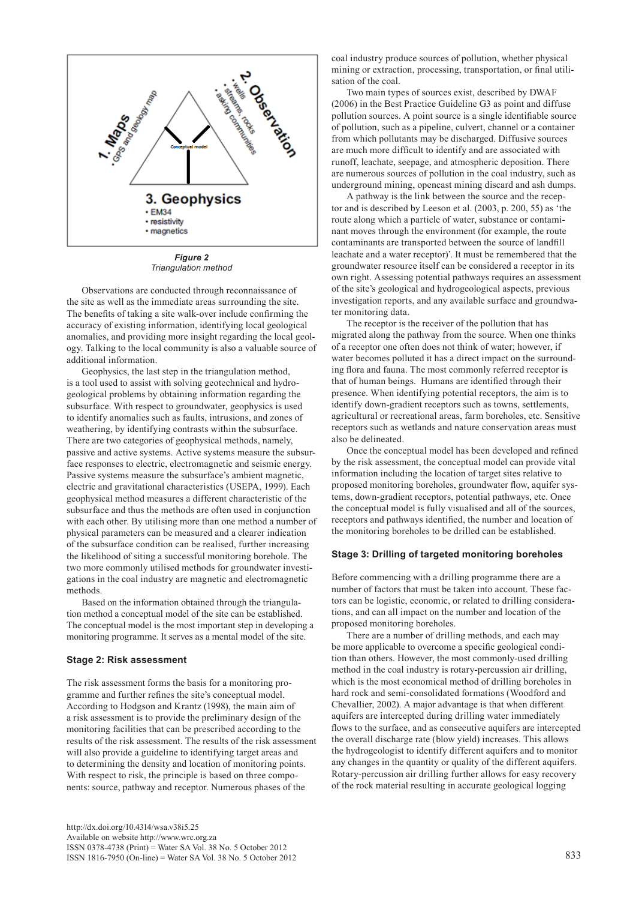

*Figure 2 Triangulation method* 

Observations are conducted through reconnaissance of the site as well as the immediate areas surrounding the site. The benefits of taking a site walk-over include confirming the accuracy of existing information, identifying local geological anomalies, and providing more insight regarding the local geology. Talking to the local community is also a valuable source of additional information.

Geophysics, the last step in the triangulation method, is a tool used to assist with solving geotechnical and hydrogeological problems by obtaining information regarding the subsurface. With respect to groundwater, geophysics is used to identify anomalies such as faults, intrusions, and zones of weathering, by identifying contrasts within the subsurface. There are two categories of geophysical methods, namely, passive and active systems. Active systems measure the subsurface responses to electric, electromagnetic and seismic energy. Passive systems measure the subsurface's ambient magnetic, electric and gravitational characteristics (USEPA, 1999). Each geophysical method measures a different characteristic of the subsurface and thus the methods are often used in conjunction with each other. By utilising more than one method a number of physical parameters can be measured and a clearer indication of the subsurface condition can be realised, further increasing the likelihood of siting a successful monitoring borehole. The two more commonly utilised methods for groundwater investigations in the coal industry are magnetic and electromagnetic methods.

Based on the information obtained through the triangulation method a conceptual model of the site can be established. The conceptual model is the most important step in developing a monitoring programme. It serves as a mental model of the site.

## **Stage 2: Risk assessment**

The risk assessment forms the basis for a monitoring programme and further refines the site's conceptual model. According to Hodgson and Krantz (1998), the main aim of a risk assessment is to provide the preliminary design of the monitoring facilities that can be prescribed according to the results of the risk assessment. The results of the risk assessment will also provide a guideline to identifying target areas and to determining the density and location of monitoring points. With respect to risk, the principle is based on three components: source, pathway and receptor. Numerous phases of the

coal industry produce sources of pollution, whether physical mining or extraction, processing, transportation, or final utilisation of the coal.

Two main types of sources exist, described by DWAF (2006) in the Best Practice Guideline G3 as point and diffuse pollution sources. A point source is a single identifiable source of pollution, such as a pipeline, culvert, channel or a container from which pollutants may be discharged. Diffusive sources are much more difficult to identify and are associated with runoff, leachate, seepage, and atmospheric deposition. There are numerous sources of pollution in the coal industry, such as underground mining, opencast mining discard and ash dumps.

A pathway is the link between the source and the receptor and is described by Leeson et al. (2003, p. 200, 55) as 'the route along which a particle of water, substance or contaminant moves through the environment (for example, the route contaminants are transported between the source of landfill leachate and a water receptor)'. It must be remembered that the groundwater resource itself can be considered a receptor in its own right. Assessing potential pathways requires an assessment of the site's geological and hydrogeological aspects, previous investigation reports, and any available surface and groundwater monitoring data.

The receptor is the receiver of the pollution that has migrated along the pathway from the source. When one thinks of a receptor one often does not think of water; however, if water becomes polluted it has a direct impact on the surrounding flora and fauna. The most commonly referred receptor is that of human beings. Humans are identified through their presence. When identifying potential receptors, the aim is to identify down-gradient receptors such as towns, settlements, agricultural or recreational areas, farm boreholes, etc. Sensitive receptors such as wetlands and nature conservation areas must also be delineated.

Once the conceptual model has been developed and refined by the risk assessment, the conceptual model can provide vital information including the location of target sites relative to proposed monitoring boreholes, groundwater flow, aquifer systems, down-gradient receptors, potential pathways, etc. Once the conceptual model is fully visualised and all of the sources, receptors and pathways identified, the number and location of the monitoring boreholes to be drilled can be established.

#### **Stage 3: Drilling of targeted monitoring boreholes**

Before commencing with a drilling programme there are a number of factors that must be taken into account. These factors can be logistic, economic, or related to drilling considerations, and can all impact on the number and location of the proposed monitoring boreholes.

There are a number of drilling methods, and each may be more applicable to overcome a specific geological condition than others. However, the most commonly-used drilling method in the coal industry is rotary-percussion air drilling, which is the most economical method of drilling boreholes in hard rock and semi-consolidated formations (Woodford and Chevallier, 2002). A major advantage is that when different aquifers are intercepted during drilling water immediately flows to the surface, and as consecutive aquifers are intercepted the overall discharge rate (blow yield) increases. This allows the hydrogeologist to identify different aquifers and to monitor any changes in the quantity or quality of the different aquifers. Rotary-percussion air drilling further allows for easy recovery of the rock material resulting in accurate geological logging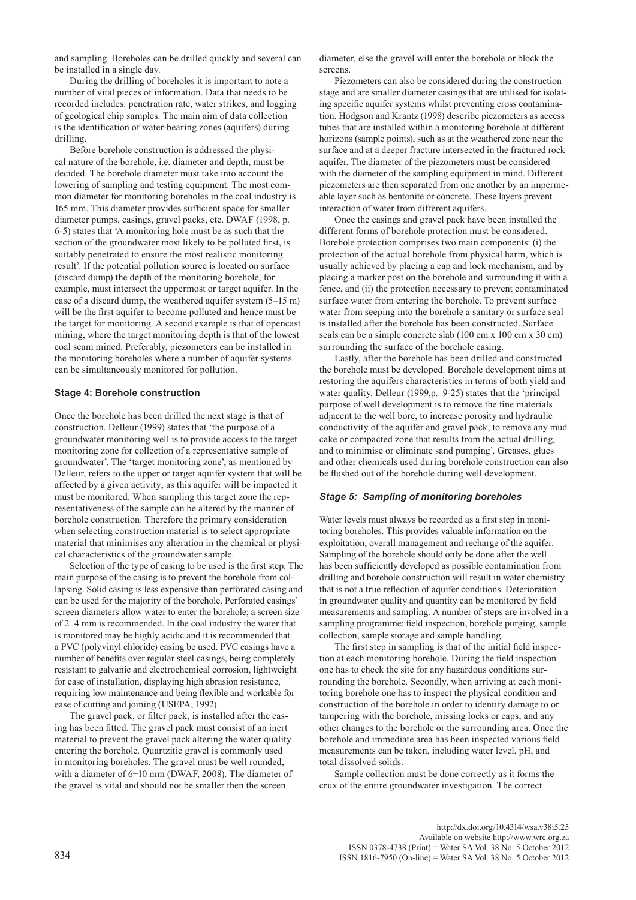and sampling. Boreholes can be drilled quickly and several can be installed in a single day.

During the drilling of boreholes it is important to note a number of vital pieces of information. Data that needs to be recorded includes: penetration rate, water strikes, and logging of geological chip samples. The main aim of data collection is the identification of water-bearing zones (aquifers) during drilling.

Before borehole construction is addressed the physical nature of the borehole, i.e. diameter and depth, must be decided. The borehole diameter must take into account the lowering of sampling and testing equipment. The most common diameter for monitoring boreholes in the coal industry is 165 mm. This diameter provides sufficient space for smaller diameter pumps, casings, gravel packs, etc. DWAF (1998, p. 6-5) states that 'A monitoring hole must be as such that the section of the groundwater most likely to be polluted first, is suitably penetrated to ensure the most realistic monitoring result'. If the potential pollution source is located on surface (discard dump) the depth of the monitoring borehole, for example, must intersect the uppermost or target aquifer. In the case of a discard dump, the weathered aquifer system (5–15 m) will be the first aquifer to become polluted and hence must be the target for monitoring. A second example is that of opencast mining, where the target monitoring depth is that of the lowest coal seam mined. Preferably, piezometers can be installed in the monitoring boreholes where a number of aquifer systems can be simultaneously monitored for pollution.

#### **Stage 4: Borehole construction**

Once the borehole has been drilled the next stage is that of construction. Delleur (1999) states that 'the purpose of a groundwater monitoring well is to provide access to the target monitoring zone for collection of a representative sample of groundwater'. The 'target monitoring zone', as mentioned by Delleur, refers to the upper or target aquifer system that will be affected by a given activity; as this aquifer will be impacted it must be monitored. When sampling this target zone the representativeness of the sample can be altered by the manner of borehole construction. Therefore the primary consideration when selecting construction material is to select appropriate material that minimises any alteration in the chemical or physical characteristics of the groundwater sample.

Selection of the type of casing to be used is the first step. The main purpose of the casing is to prevent the borehole from collapsing. Solid casing is less expensive than perforated casing and can be used for the majority of the borehole. Perforated casings' screen diameters allow water to enter the borehole; a screen size of 2−4 mm is recommended. In the coal industry the water that is monitored may be highly acidic and it is recommended that a PVC (polyvinyl chloride) casing be used. PVC casings have a number of benefits over regular steel casings, being completely resistant to galvanic and electrochemical corrosion, lightweight for ease of installation, displaying high abrasion resistance, requiring low maintenance and being flexible and workable for ease of cutting and joining (USEPA, 1992).

The gravel pack, or filter pack, is installed after the casing has been fitted. The gravel pack must consist of an inert material to prevent the gravel pack altering the water quality entering the borehole. Quartzitic gravel is commonly used in monitoring boreholes. The gravel must be well rounded, with a diameter of 6−10 mm (DWAF, 2008). The diameter of the gravel is vital and should not be smaller then the screen

diameter, else the gravel will enter the borehole or block the screens.

Piezometers can also be considered during the construction stage and are smaller diameter casings that are utilised for isolating specific aquifer systems whilst preventing cross contamination. Hodgson and Krantz (1998) describe piezometers as access tubes that are installed within a monitoring borehole at different horizons (sample points), such as at the weathered zone near the surface and at a deeper fracture intersected in the fractured rock aquifer. The diameter of the piezometers must be considered with the diameter of the sampling equipment in mind. Different piezometers are then separated from one another by an impermeable layer such as bentonite or concrete. These layers prevent interaction of water from different aquifers.

Once the casings and gravel pack have been installed the different forms of borehole protection must be considered. Borehole protection comprises two main components: (i) the protection of the actual borehole from physical harm, which is usually achieved by placing a cap and lock mechanism, and by placing a marker post on the borehole and surrounding it with a fence, and (ii) the protection necessary to prevent contaminated surface water from entering the borehole. To prevent surface water from seeping into the borehole a sanitary or surface seal is installed after the borehole has been constructed. Surface seals can be a simple concrete slab (100 cm x 100 cm x 30 cm) surrounding the surface of the borehole casing.

Lastly, after the borehole has been drilled and constructed the borehole must be developed. Borehole development aims at restoring the aquifers characteristics in terms of both yield and water quality. Delleur (1999,p. 9-25) states that the 'principal purpose of well development is to remove the fine materials adjacent to the well bore, to increase porosity and hydraulic conductivity of the aquifer and gravel pack, to remove any mud cake or compacted zone that results from the actual drilling, and to minimise or eliminate sand pumping'. Greases, glues and other chemicals used during borehole construction can also be flushed out of the borehole during well development.

## *Stage 5: Sampling of monitoring boreholes*

Water levels must always be recorded as a first step in monitoring boreholes. This provides valuable information on the exploitation, overall management and recharge of the aquifer. Sampling of the borehole should only be done after the well has been sufficiently developed as possible contamination from drilling and borehole construction will result in water chemistry that is not a true reflection of aquifer conditions. Deterioration in groundwater quality and quantity can be monitored by field measurements and sampling. A number of steps are involved in a sampling programme: field inspection, borehole purging, sample collection, sample storage and sample handling.

The first step in sampling is that of the initial field inspection at each monitoring borehole. During the field inspection one has to check the site for any hazardous conditions surrounding the borehole. Secondly, when arriving at each monitoring borehole one has to inspect the physical condition and construction of the borehole in order to identify damage to or tampering with the borehole, missing locks or caps, and any other changes to the borehole or the surrounding area. Once the borehole and immediate area has been inspected various field measurements can be taken, including water level, pH, and total dissolved solids.

Sample collection must be done correctly as it forms the crux of the entire groundwater investigation. The correct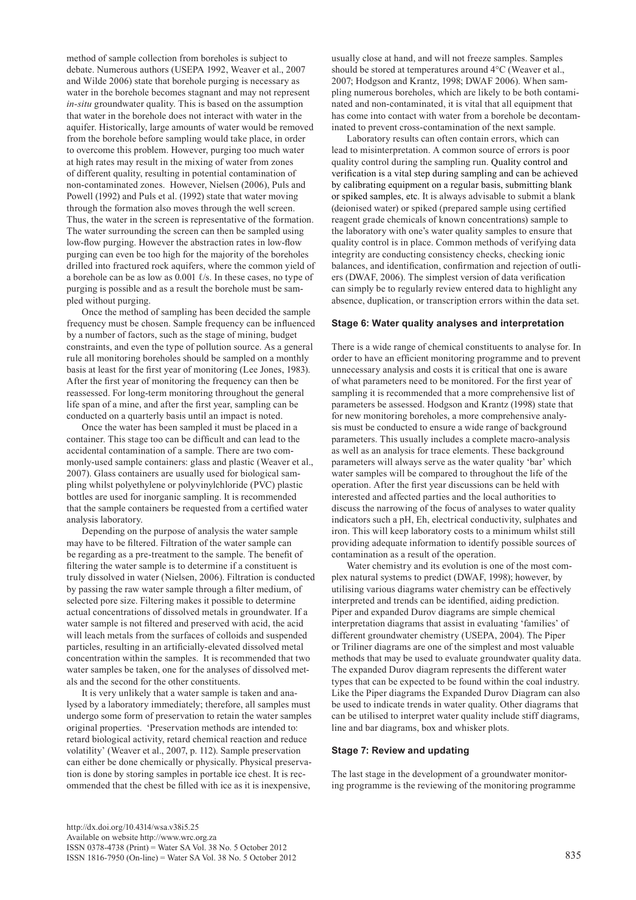method of sample collection from boreholes is subject to debate. Numerous authors (USEPA 1992, Weaver et al., 2007 and Wilde 2006) state that borehole purging is necessary as water in the borehole becomes stagnant and may not represent *in-situ* groundwater quality. This is based on the assumption that water in the borehole does not interact with water in the aquifer. Historically, large amounts of water would be removed from the borehole before sampling would take place, in order to overcome this problem. However, purging too much water at high rates may result in the mixing of water from zones of different quality, resulting in potential contamination of non-contaminated zones. However, Nielsen (2006), Puls and Powell (1992) and Puls et al. (1992) state that water moving through the formation also moves through the well screen. Thus, the water in the screen is representative of the formation. The water surrounding the screen can then be sampled using low-flow purging. However the abstraction rates in low-flow purging can even be too high for the majority of the boreholes drilled into fractured rock aquifers, where the common yield of a borehole can be as low as  $0.001$   $\ell$ /s. In these cases, no type of purging is possible and as a result the borehole must be sampled without purging.

Once the method of sampling has been decided the sample frequency must be chosen. Sample frequency can be influenced by a number of factors, such as the stage of mining, budget constraints, and even the type of pollution source. As a general rule all monitoring boreholes should be sampled on a monthly basis at least for the first year of monitoring (Lee Jones, 1983). After the first year of monitoring the frequency can then be reassessed. For long-term monitoring throughout the general life span of a mine, and after the first year, sampling can be conducted on a quarterly basis until an impact is noted.

Once the water has been sampled it must be placed in a container. This stage too can be difficult and can lead to the accidental contamination of a sample. There are two commonly-used sample containers: glass and plastic (Weaver et al., 2007). Glass containers are usually used for biological sampling whilst polyethylene or polyvinylchloride (PVC) plastic bottles are used for inorganic sampling. It is recommended that the sample containers be requested from a certified water analysis laboratory.

Depending on the purpose of analysis the water sample may have to be filtered. Filtration of the water sample can be regarding as a pre-treatment to the sample. The benefit of filtering the water sample is to determine if a constituent is truly dissolved in water (Nielsen, 2006). Filtration is conducted by passing the raw water sample through a filter medium, of selected pore size. Filtering makes it possible to determine actual concentrations of dissolved metals in groundwater. If a water sample is not filtered and preserved with acid, the acid will leach metals from the surfaces of colloids and suspended particles, resulting in an artificially-elevated dissolved metal concentration within the samples. It is recommended that two water samples be taken, one for the analyses of dissolved metals and the second for the other constituents.

It is very unlikely that a water sample is taken and analysed by a laboratory immediately; therefore, all samples must undergo some form of preservation to retain the water samples original properties. 'Preservation methods are intended to: retard biological activity, retard chemical reaction and reduce volatility' (Weaver et al., 2007, p. 112). Sample preservation can either be done chemically or physically. Physical preservation is done by storing samples in portable ice chest. It is recommended that the chest be filled with ice as it is inexpensive,

usually close at hand, and will not freeze samples. Samples should be stored at temperatures around 4°C (Weaver et al., 2007; Hodgson and Krantz, 1998; DWAF 2006). When sampling numerous boreholes, which are likely to be both contaminated and non-contaminated, it is vital that all equipment that has come into contact with water from a borehole be decontaminated to prevent cross-contamination of the next sample.

Laboratory results can often contain errors, which can lead to misinterpretation. A common source of errors is poor quality control during the sampling run. Quality control and verification is a vital step during sampling and can be achieved by calibrating equipment on a regular basis, submitting blank or spiked samples, etc. It is always advisable to submit a blank (deionised water) or spiked (prepared sample using certified reagent grade chemicals of known concentrations) sample to the laboratory with one's water quality samples to ensure that quality control is in place. Common methods of verifying data integrity are conducting consistency checks, checking ionic balances, and identification, confirmation and rejection of outliers (DWAF, 2006). The simplest version of data verification can simply be to regularly review entered data to highlight any absence, duplication, or transcription errors within the data set.

#### **Stage 6: Water quality analyses and interpretation**

There is a wide range of chemical constituents to analyse for. In order to have an efficient monitoring programme and to prevent unnecessary analysis and costs it is critical that one is aware of what parameters need to be monitored. For the first year of sampling it is recommended that a more comprehensive list of parameters be assessed. Hodgson and Krantz (1998) state that for new monitoring boreholes, a more comprehensive analysis must be conducted to ensure a wide range of background parameters. This usually includes a complete macro-analysis as well as an analysis for trace elements. These background parameters will always serve as the water quality 'bar' which water samples will be compared to throughout the life of the operation. After the first year discussions can be held with interested and affected parties and the local authorities to discuss the narrowing of the focus of analyses to water quality indicators such a pH, Eh, electrical conductivity, sulphates and iron. This will keep laboratory costs to a minimum whilst still providing adequate information to identify possible sources of contamination as a result of the operation.

Water chemistry and its evolution is one of the most complex natural systems to predict (DWAF, 1998); however, by utilising various diagrams water chemistry can be effectively interpreted and trends can be identified, aiding prediction. Piper and expanded Durov diagrams are simple chemical interpretation diagrams that assist in evaluating 'families' of different groundwater chemistry (USEPA, 2004). The Piper or Triliner diagrams are one of the simplest and most valuable methods that may be used to evaluate groundwater quality data. The expanded Durov diagram represents the different water types that can be expected to be found within the coal industry. Like the Piper diagrams the Expanded Durov Diagram can also be used to indicate trends in water quality. Other diagrams that can be utilised to interpret water quality include stiff diagrams, line and bar diagrams, box and whisker plots.

#### **Stage 7: Review and updating**

The last stage in the development of a groundwater monitoring programme is the reviewing of the monitoring programme